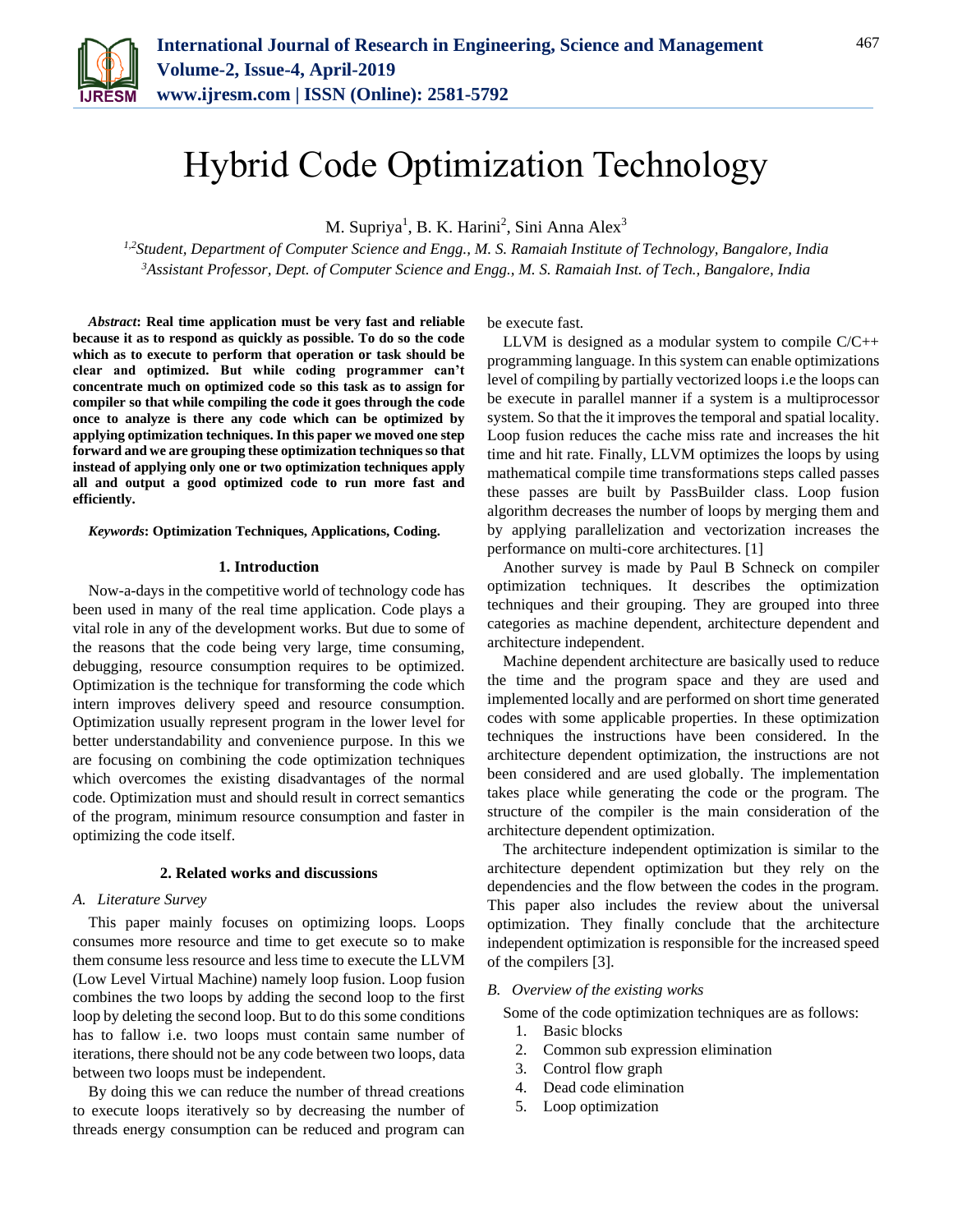

# Hybrid Code Optimization Technology

M. Supriya<sup>1</sup>, B. K. Harini<sup>2</sup>, Sini Anna Alex<sup>3</sup>

*1,2Student, Department of Computer Science and Engg., M. S. Ramaiah Institute of Technology, Bangalore, India <sup>3</sup>Assistant Professor, Dept. of Computer Science and Engg., M. S. Ramaiah Inst. of Tech., Bangalore, India*

*Abstract***: Real time application must be very fast and reliable because it as to respond as quickly as possible. To do so the code which as to execute to perform that operation or task should be clear and optimized. But while coding programmer can't concentrate much on optimized code so this task as to assign for compiler so that while compiling the code it goes through the code once to analyze is there any code which can be optimized by applying optimization techniques. In this paper we moved one step forward and we are grouping these optimization techniques so that instead of applying only one or two optimization techniques apply all and output a good optimized code to run more fast and efficiently.** 

#### *Keywords***: Optimization Techniques, Applications, Coding.**

#### **1. Introduction**

Now-a-days in the competitive world of technology code has been used in many of the real time application. Code plays a vital role in any of the development works. But due to some of the reasons that the code being very large, time consuming, debugging, resource consumption requires to be optimized. Optimization is the technique for transforming the code which intern improves delivery speed and resource consumption. Optimization usually represent program in the lower level for better understandability and convenience purpose. In this we are focusing on combining the code optimization techniques which overcomes the existing disadvantages of the normal code. Optimization must and should result in correct semantics of the program, minimum resource consumption and faster in optimizing the code itself.

## **2. Related works and discussions**

#### *A. Literature Survey*

This paper mainly focuses on optimizing loops. Loops consumes more resource and time to get execute so to make them consume less resource and less time to execute the LLVM (Low Level Virtual Machine) namely loop fusion. Loop fusion combines the two loops by adding the second loop to the first loop by deleting the second loop. But to do this some conditions has to fallow i.e. two loops must contain same number of iterations, there should not be any code between two loops, data between two loops must be independent.

By doing this we can reduce the number of thread creations to execute loops iteratively so by decreasing the number of threads energy consumption can be reduced and program can

be execute fast.

LLVM is designed as a modular system to compile C/C++ programming language. In this system can enable optimizations level of compiling by partially vectorized loops i.e the loops can be execute in parallel manner if a system is a multiprocessor system. So that the it improves the temporal and spatial locality. Loop fusion reduces the cache miss rate and increases the hit time and hit rate. Finally, LLVM optimizes the loops by using mathematical compile time transformations steps called passes these passes are built by PassBuilder class. Loop fusion algorithm decreases the number of loops by merging them and by applying parallelization and vectorization increases the performance on multi-core architectures. [1]

Another survey is made by Paul B Schneck on compiler optimization techniques. It describes the optimization techniques and their grouping. They are grouped into three categories as machine dependent, architecture dependent and architecture independent.

Machine dependent architecture are basically used to reduce the time and the program space and they are used and implemented locally and are performed on short time generated codes with some applicable properties. In these optimization techniques the instructions have been considered. In the architecture dependent optimization, the instructions are not been considered and are used globally. The implementation takes place while generating the code or the program. The structure of the compiler is the main consideration of the architecture dependent optimization.

The architecture independent optimization is similar to the architecture dependent optimization but they rely on the dependencies and the flow between the codes in the program. This paper also includes the review about the universal optimization. They finally conclude that the architecture independent optimization is responsible for the increased speed of the compilers [3].

## *B. Overview of the existing works*

Some of the code optimization techniques are as follows:

- 1. Basic blocks
- 2. Common sub expression elimination
- 3. Control flow graph
- 4. Dead code elimination
- 5. Loop optimization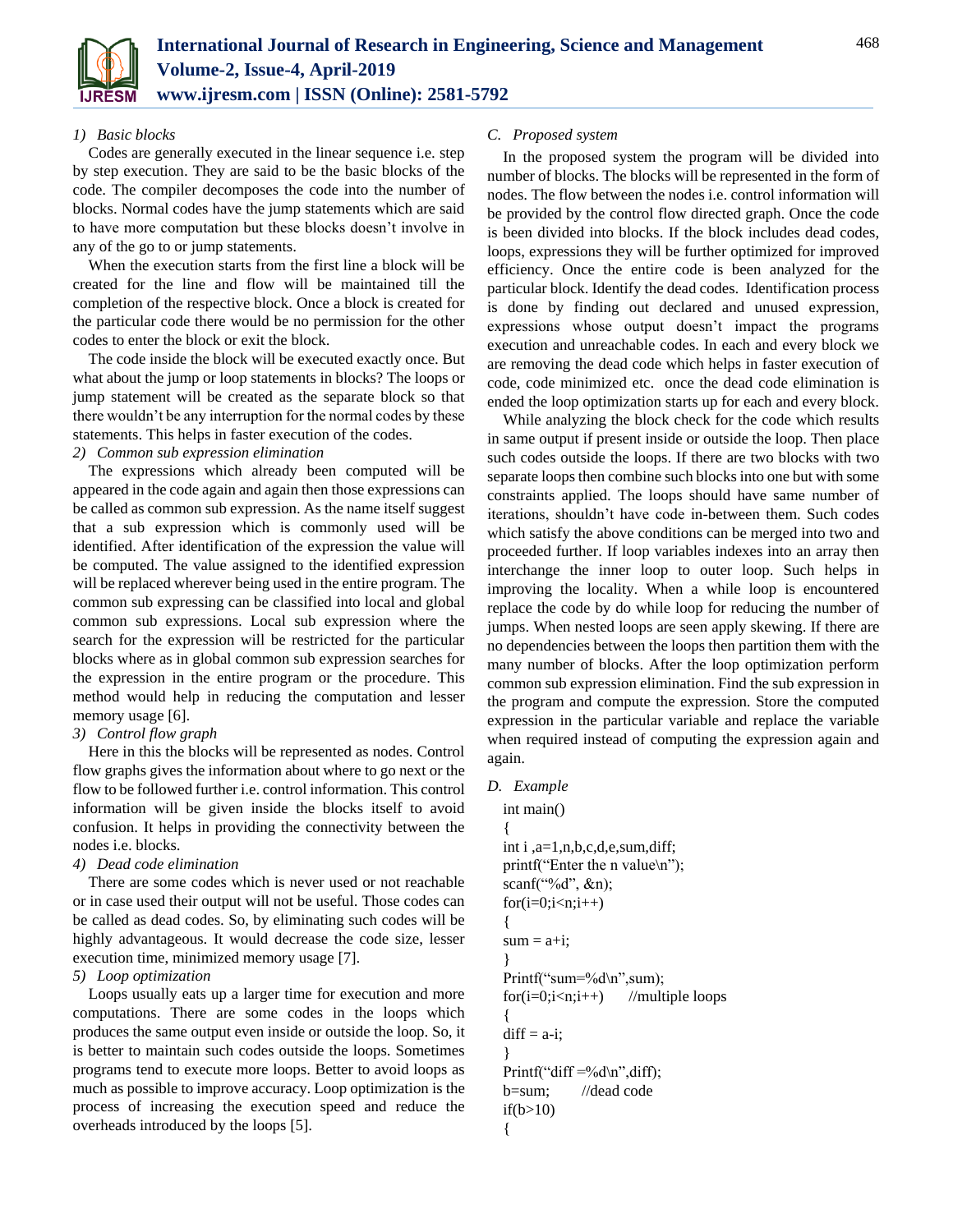

#### *1) Basic blocks*

Codes are generally executed in the linear sequence i.e. step by step execution. They are said to be the basic blocks of the code. The compiler decomposes the code into the number of blocks. Normal codes have the jump statements which are said to have more computation but these blocks doesn't involve in any of the go to or jump statements.

When the execution starts from the first line a block will be created for the line and flow will be maintained till the completion of the respective block. Once a block is created for the particular code there would be no permission for the other codes to enter the block or exit the block.

The code inside the block will be executed exactly once. But what about the jump or loop statements in blocks? The loops or jump statement will be created as the separate block so that there wouldn't be any interruption for the normal codes by these statements. This helps in faster execution of the codes.

## *2) Common sub expression elimination*

The expressions which already been computed will be appeared in the code again and again then those expressions can be called as common sub expression. As the name itself suggest that a sub expression which is commonly used will be identified. After identification of the expression the value will be computed. The value assigned to the identified expression will be replaced wherever being used in the entire program. The common sub expressing can be classified into local and global common sub expressions. Local sub expression where the search for the expression will be restricted for the particular blocks where as in global common sub expression searches for the expression in the entire program or the procedure. This method would help in reducing the computation and lesser memory usage [6].

## *3) Control flow graph*

Here in this the blocks will be represented as nodes. Control flow graphs gives the information about where to go next or the flow to be followed further i.e. control information. This control information will be given inside the blocks itself to avoid confusion. It helps in providing the connectivity between the nodes i.e. blocks.

## *4) Dead code elimination*

There are some codes which is never used or not reachable or in case used their output will not be useful. Those codes can be called as dead codes. So, by eliminating such codes will be highly advantageous. It would decrease the code size, lesser execution time, minimized memory usage [7].

# *5) Loop optimization*

Loops usually eats up a larger time for execution and more computations. There are some codes in the loops which produces the same output even inside or outside the loop. So, it is better to maintain such codes outside the loops. Sometimes programs tend to execute more loops. Better to avoid loops as much as possible to improve accuracy. Loop optimization is the process of increasing the execution speed and reduce the overheads introduced by the loops [5].

# *C. Proposed system*

In the proposed system the program will be divided into number of blocks. The blocks will be represented in the form of nodes. The flow between the nodes i.e. control information will be provided by the control flow directed graph. Once the code is been divided into blocks. If the block includes dead codes, loops, expressions they will be further optimized for improved efficiency. Once the entire code is been analyzed for the particular block. Identify the dead codes. Identification process is done by finding out declared and unused expression, expressions whose output doesn't impact the programs execution and unreachable codes. In each and every block we are removing the dead code which helps in faster execution of code, code minimized etc. once the dead code elimination is ended the loop optimization starts up for each and every block.

While analyzing the block check for the code which results in same output if present inside or outside the loop. Then place such codes outside the loops. If there are two blocks with two separate loops then combine such blocks into one but with some constraints applied. The loops should have same number of iterations, shouldn't have code in-between them. Such codes which satisfy the above conditions can be merged into two and proceeded further. If loop variables indexes into an array then interchange the inner loop to outer loop. Such helps in improving the locality. When a while loop is encountered replace the code by do while loop for reducing the number of jumps. When nested loops are seen apply skewing. If there are no dependencies between the loops then partition them with the many number of blocks. After the loop optimization perform common sub expression elimination. Find the sub expression in the program and compute the expression. Store the computed expression in the particular variable and replace the variable when required instead of computing the expression again and again.

## *D. Example*

int main() { int i ,a=1,n,b,c,d,e,sum,diff; printf("Enter the n value $\langle n" \rangle$ ; scanf("%d", &n);  $for(i=0;i < n;i++)$ {  $sum = a+i;$ } Printf("sum=%d\n",sum);  $for(i=0;i //multiple loops$ {  $diff = a-i;$ } Printf("diff  $=\%d\n$ ",diff); b=sum; //dead code  $if(b>10)$ {